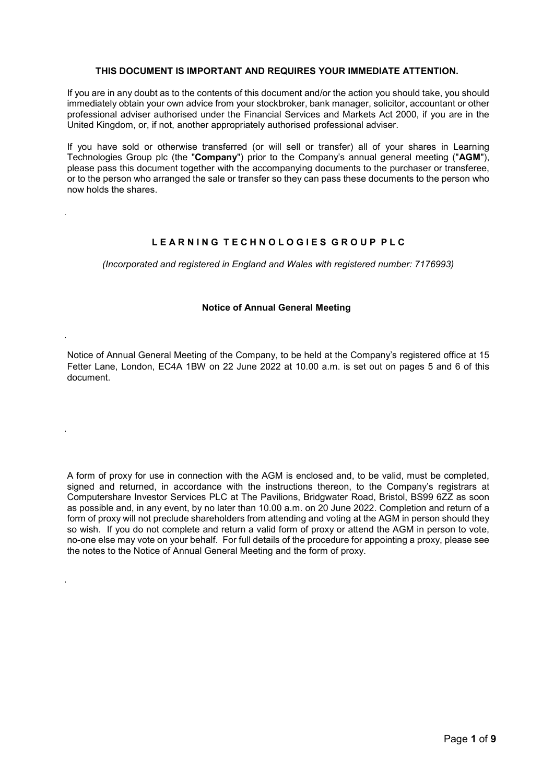# **THIS DOCUMENT IS IMPORTANT AND REQUIRES YOUR IMMEDIATE ATTENTION.**

If you are in any doubt as to the contents of this document and/or the action you should take, you should immediately obtain your own advice from your stockbroker, bank manager, solicitor, accountant or other professional adviser authorised under the Financial Services and Markets Act 2000, if you are in the United Kingdom, or, if not, another appropriately authorised professional adviser.

If you have sold or otherwise transferred (or will sell or transfer) all of your shares in Learning Technologies Group plc (the "**Company**") prior to the Company's annual general meeting ("**AGM**"), please pass this document together with the accompanying documents to the purchaser or transferee, or to the person who arranged the sale or transfer so they can pass these documents to the person who now holds the shares.

# **L E A R N I N G T E C H N O L O G I E S G R O U P P L C**

*(Incorporated and registered in England and Wales with registered number: 7176993)*

### **Notice of Annual General Meeting**

Notice of Annual General Meeting of the Company, to be held at the Company's registered office at 15 Fetter Lane, London, EC4A 1BW on 22 June 2022 at 10.00 a.m. is set out on pages 5 and 6 of this document.

A form of proxy for use in connection with the AGM is enclosed and, to be valid, must be completed, signed and returned, in accordance with the instructions thereon, to the Company's registrars at Computershare Investor Services PLC at The Pavilions, Bridgwater Road, Bristol, BS99 6ZZ as soon as possible and, in any event, by no later than 10.00 a.m. on 20 June 2022. Completion and return of a form of proxy will not preclude shareholders from attending and voting at the AGM in person should they so wish. If you do not complete and return a valid form of proxy or attend the AGM in person to vote, no-one else may vote on your behalf. For full details of the procedure for appointing a proxy, please see the notes to the Notice of Annual General Meeting and the form of proxy.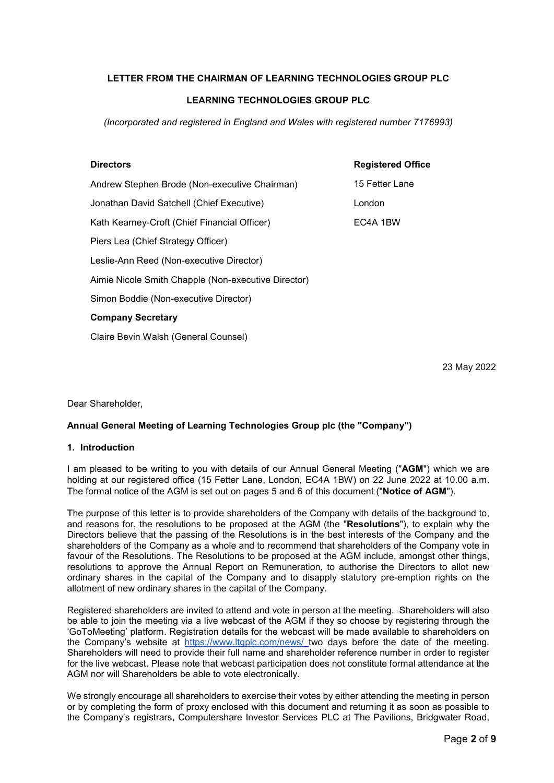# **LETTER FROM THE CHAIRMAN OF LEARNING TECHNOLOGIES GROUP PLC**

# **LEARNING TECHNOLOGIES GROUP PLC**

*(Incorporated and registered in England and Wales with registered number 7176993)*

## **Directors Registered Office**

15 Fetter Lane London EC4A 1BW Andrew Stephen Brode (Non-executive Chairman) Jonathan David Satchell (Chief Executive) Kath Kearney-Croft (Chief Financial Officer) Piers Lea (Chief Strategy Officer) Leslie-Ann Reed (Non-executive Director) Aimie Nicole Smith Chapple (Non-executive Director) Simon Boddie (Non-executive Director) **Company Secretary** Claire Bevin Walsh (General Counsel)

23 May 2022

Dear Shareholder,

#### **Annual General Meeting of Learning Technologies Group plc (the "Company")**

# **1. Introduction**

I am pleased to be writing to you with details of our Annual General Meeting ("**AGM**") which we are holding at our registered office (15 Fetter Lane, London, EC4A 1BW) on 22 June 2022 at 10.00 a.m. The formal notice of the AGM is set out on pages 5 and 6 of this document ("**Notice of AGM**").

The purpose of this letter is to provide shareholders of the Company with details of the background to, and reasons for, the resolutions to be proposed at the AGM (the "**Resolutions**"), to explain why the Directors believe that the passing of the Resolutions is in the best interests of the Company and the shareholders of the Company as a whole and to recommend that shareholders of the Company vote in favour of the Resolutions. The Resolutions to be proposed at the AGM include, amongst other things, resolutions to approve the Annual Report on Remuneration, to authorise the Directors to allot new ordinary shares in the capital of the Company and to disapply statutory pre-emption rights on the allotment of new ordinary shares in the capital of the Company.

Registered shareholders are invited to attend and vote in person at the meeting. Shareholders will also be able to join the meeting via a live webcast of the AGM if they so choose by registering through the 'GoToMeeting' platform. Registration details for the webcast will be made available to shareholders on the Company's website at https://www.ltgplc.com/news/ two days before the date of the meeting. Shareholders will need to provide their full name and shareholder reference number in order to register for the live webcast. Please note that webcast participation does not constitute formal attendance at the AGM nor will Shareholders be able to vote electronically.

We strongly encourage all shareholders to exercise their votes by either attending the meeting in person or by completing the form of proxy enclosed with this document and returning it as soon as possible to the Company's registrars, Computershare Investor Services PLC at The Pavilions, Bridgwater Road,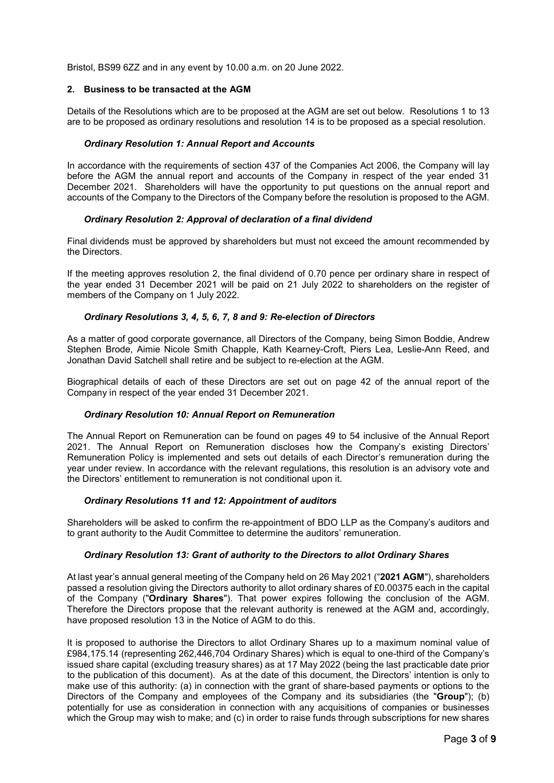Bristol, BS99 6ZZ and in any event by 10.00 a.m. on 20 June 2022.

# **2. Business to be transacted at the AGM**

Details of the Resolutions which are to be proposed at the AGM are set out below. Resolutions 1 to 13 are to be proposed as ordinary resolutions and resolution 14 is to be proposed as a special resolution.

## *Ordinary Resolution 1: Annual Report and Accounts*

In accordance with the requirements of section 437 of the Companies Act 2006, the Company will lay before the AGM the annual report and accounts of the Company in respect of the year ended 31 December 2021. Shareholders will have the opportunity to put questions on the annual report and accounts of the Company to the Directors of the Company before the resolution is proposed to the AGM.

## *Ordinary Resolution 2: Approval of declaration of a final dividend*

Final dividends must be approved by shareholders but must not exceed the amount recommended by the Directors.

If the meeting approves resolution 2, the final dividend of 0.70 pence per ordinary share in respect of the year ended 31 December 2021 will be paid on 21 July 2022 to shareholders on the register of members of the Company on 1 July 2022.

## *Ordinary Resolutions 3, 4, 5, 6, 7, 8 and 9: Re-election of Directors*

As a matter of good corporate governance, all Directors of the Company, being Simon Boddie, Andrew Stephen Brode, Aimie Nicole Smith Chapple, Kath Kearney-Croft, Piers Lea, Leslie-Ann Reed, and Jonathan David Satchell shall retire and be subject to re-election at the AGM.

Biographical details of each of these Directors are set out on page 42 of the annual report of the Company in respect of the year ended 31 December 2021.

# *Ordinary Resolution 10: Annual Report on Remuneration*

The Annual Report on Remuneration can be found on pages 49 to 54 inclusive of the Annual Report 2021. The Annual Report on Remuneration discloses how the Company's existing Directors' Remuneration Policy is implemented and sets out details of each Director's remuneration during the year under review. In accordance with the relevant regulations, this resolution is an advisory vote and the Directors' entitlement to remuneration is not conditional upon it.

#### *Ordinary Resolutions 11 and 12: Appointment of auditors*

Shareholders will be asked to confirm the re-appointment of BDO LLP as the Company's auditors and to grant authority to the Audit Committee to determine the auditors' remuneration.

#### *Ordinary Resolution 13: Grant of authority to the Directors to allot Ordinary Shares*

At last year's annual general meeting of the Company held on 26 May 2021 ("**2021 AGM**"), shareholders passed a resolution giving the Directors authority to allot ordinary shares of £0.00375 each in the capital of the Company ("**Ordinary Shares**"). That power expires following the conclusion of the AGM. Therefore the Directors propose that the relevant authority is renewed at the AGM and, accordingly, have proposed resolution 13 in the Notice of AGM to do this.

It is proposed to authorise the Directors to allot Ordinary Shares up to a maximum nominal value of £984,175.14 (representing 262,446,704 Ordinary Shares) which is equal to one-third of the Company's issued share capital (excluding treasury shares) as at 17 May 2022 (being the last practicable date prior to the publication of this document). As at the date of this document, the Directors' intention is only to make use of this authority: (a) in connection with the grant of share-based payments or options to the Directors of the Company and employees of the Company and its subsidiaries (the "**Group**"); (b) potentially for use as consideration in connection with any acquisitions of companies or businesses which the Group may wish to make; and (c) in order to raise funds through subscriptions for new shares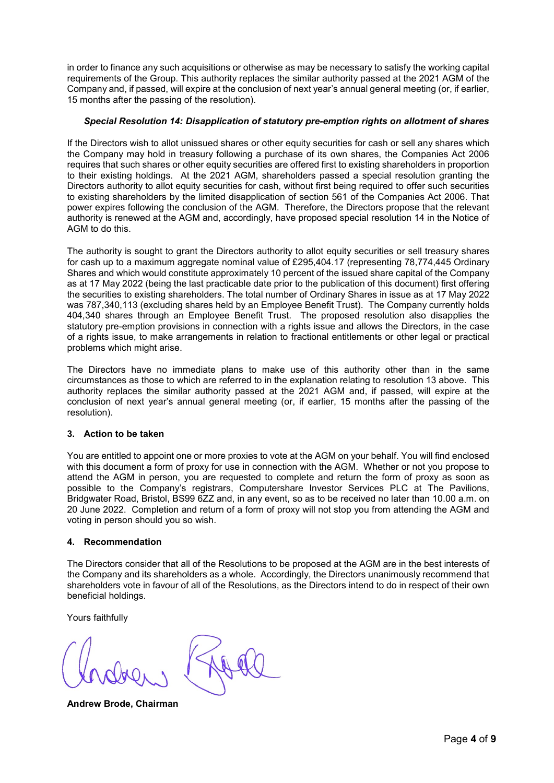in order to finance any such acquisitions or otherwise as may be necessary to satisfy the working capital requirements of the Group. This authority replaces the similar authority passed at the 2021 AGM of the Company and, if passed, will expire at the conclusion of next year's annual general meeting (or, if earlier, 15 months after the passing of the resolution).

# *Special Resolution 14: Disapplication of statutory pre-emption rights on allotment of shares*

If the Directors wish to allot unissued shares or other equity securities for cash or sell any shares which the Company may hold in treasury following a purchase of its own shares, the Companies Act 2006 requires that such shares or other equity securities are offered first to existing shareholders in proportion to their existing holdings. At the 2021 AGM, shareholders passed a special resolution granting the Directors authority to allot equity securities for cash, without first being required to offer such securities to existing shareholders by the limited disapplication of section 561 of the Companies Act 2006. That power expires following the conclusion of the AGM. Therefore, the Directors propose that the relevant authority is renewed at the AGM and, accordingly, have proposed special resolution 14 in the Notice of AGM to do this.

The authority is sought to grant the Directors authority to allot equity securities or sell treasury shares for cash up to a maximum aggregate nominal value of £295,404.17 (representing 78,774,445 Ordinary Shares and which would constitute approximately 10 percent of the issued share capital of the Company as at 17 May 2022 (being the last practicable date prior to the publication of this document) first offering the securities to existing shareholders. The total number of Ordinary Shares in issue as at 17 May 2022 was 787,340,113 (excluding shares held by an Employee Benefit Trust). The Company currently holds 404,340 shares through an Employee Benefit Trust. The proposed resolution also disapplies the statutory pre-emption provisions in connection with a rights issue and allows the Directors, in the case of a rights issue, to make arrangements in relation to fractional entitlements or other legal or practical problems which might arise.

The Directors have no immediate plans to make use of this authority other than in the same circumstances as those to which are referred to in the explanation relating to resolution 13 above. This authority replaces the similar authority passed at the 2021 AGM and, if passed, will expire at the conclusion of next year's annual general meeting (or, if earlier, 15 months after the passing of the resolution).

# **3. Action to be taken**

You are entitled to appoint one or more proxies to vote at the AGM on your behalf. You will find enclosed with this document a form of proxy for use in connection with the AGM. Whether or not you propose to attend the AGM in person, you are requested to complete and return the form of proxy as soon as possible to the Company's registrars, Computershare Investor Services PLC at The Pavilions, Bridgwater Road, Bristol, BS99 6ZZ and, in any event, so as to be received no later than 10.00 a.m. on 20 June 2022. Completion and return of a form of proxy will not stop you from attending the AGM and voting in person should you so wish.

# **4. Recommendation**

The Directors consider that all of the Resolutions to be proposed at the AGM are in the best interests of the Company and its shareholders as a whole. Accordingly, the Directors unanimously recommend that shareholders vote in favour of all of the Resolutions, as the Directors intend to do in respect of their own beneficial holdings.

Yours faithfully

**Andrew Brode, Chairman**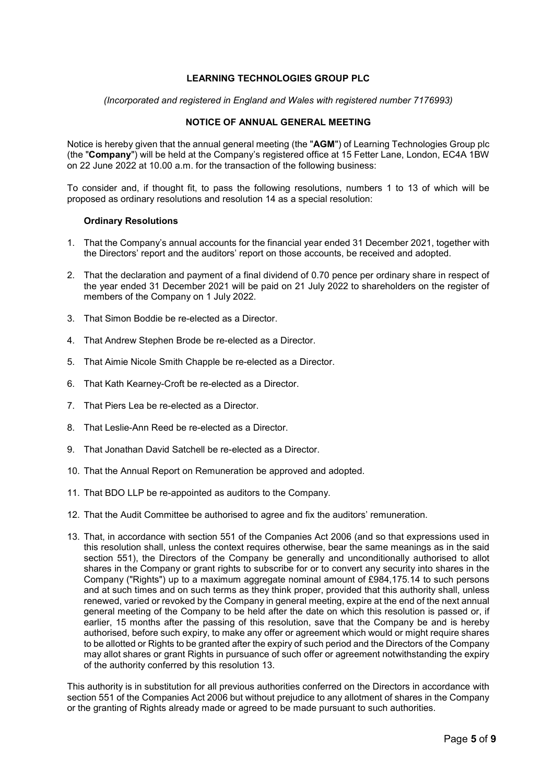# **LEARNING TECHNOLOGIES GROUP PLC**

*(Incorporated and registered in England and Wales with registered number 7176993)*

# **NOTICE OF ANNUAL GENERAL MEETING**

Notice is hereby given that the annual general meeting (the "**AGM**") of Learning Technologies Group plc (the "**Company**") will be held at the Company's registered office at 15 Fetter Lane, London, EC4A 1BW on 22 June 2022 at 10.00 a.m. for the transaction of the following business:

To consider and, if thought fit, to pass the following resolutions, numbers 1 to 13 of which will be proposed as ordinary resolutions and resolution 14 as a special resolution:

### **Ordinary Resolutions**

- 1. That the Company's annual accounts for the financial year ended 31 December 2021, together with the Directors' report and the auditors' report on those accounts, be received and adopted.
- 2. That the declaration and payment of a final dividend of 0.70 pence per ordinary share in respect of the year ended 31 December 2021 will be paid on 21 July 2022 to shareholders on the register of members of the Company on 1 July 2022.
- 3. That Simon Boddie be re-elected as a Director.
- 4. That Andrew Stephen Brode be re-elected as a Director.
- 5. That Aimie Nicole Smith Chapple be re-elected as a Director.
- 6. That Kath Kearney-Croft be re-elected as a Director.
- 7. That Piers Lea be re-elected as a Director.
- 8. That Leslie-Ann Reed be re-elected as a Director.
- 9. That Jonathan David Satchell be re-elected as a Director.
- 10. That the Annual Report on Remuneration be approved and adopted.
- 11. That BDO LLP be re-appointed as auditors to the Company.
- 12. That the Audit Committee be authorised to agree and fix the auditors' remuneration.
- 13. That, in accordance with section 551 of the Companies Act 2006 (and so that expressions used in this resolution shall, unless the context requires otherwise, bear the same meanings as in the said section 551), the Directors of the Company be generally and unconditionally authorised to allot shares in the Company or grant rights to subscribe for or to convert any security into shares in the Company ("Rights") up to a maximum aggregate nominal amount of £984,175.14 to such persons and at such times and on such terms as they think proper, provided that this authority shall, unless renewed, varied or revoked by the Company in general meeting, expire at the end of the next annual general meeting of the Company to be held after the date on which this resolution is passed or, if earlier, 15 months after the passing of this resolution, save that the Company be and is hereby authorised, before such expiry, to make any offer or agreement which would or might require shares to be allotted or Rights to be granted after the expiry of such period and the Directors of the Company may allot shares or grant Rights in pursuance of such offer or agreement notwithstanding the expiry of the authority conferred by this resolution 13.

This authority is in substitution for all previous authorities conferred on the Directors in accordance with section 551 of the Companies Act 2006 but without prejudice to any allotment of shares in the Company or the granting of Rights already made or agreed to be made pursuant to such authorities.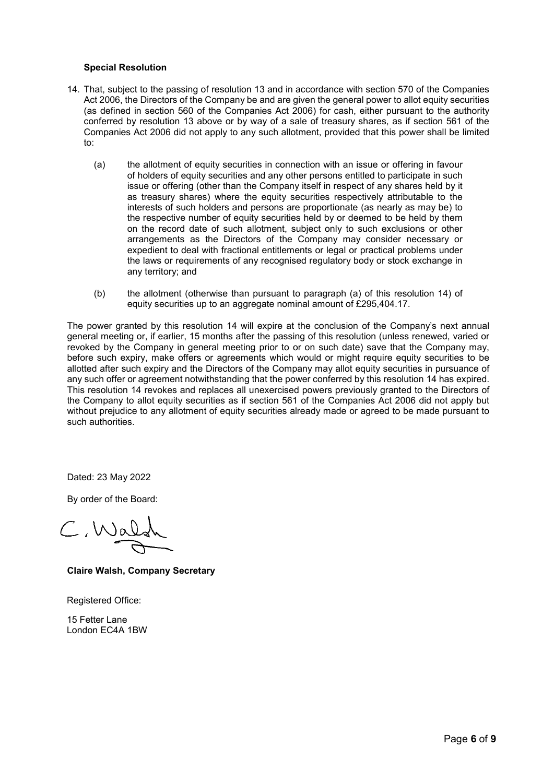# **Special Resolution**

- 14. That, subject to the passing of resolution 13 and in accordance with section 570 of the Companies Act 2006, the Directors of the Company be and are given the general power to allot equity securities (as defined in section 560 of the Companies Act 2006) for cash, either pursuant to the authority conferred by resolution 13 above or by way of a sale of treasury shares, as if section 561 of the Companies Act 2006 did not apply to any such allotment, provided that this power shall be limited to:
	- (a) the allotment of equity securities in connection with an issue or offering in favour of holders of equity securities and any other persons entitled to participate in such issue or offering (other than the Company itself in respect of any shares held by it as treasury shares) where the equity securities respectively attributable to the interests of such holders and persons are proportionate (as nearly as may be) to the respective number of equity securities held by or deemed to be held by them on the record date of such allotment, subject only to such exclusions or other arrangements as the Directors of the Company may consider necessary or expedient to deal with fractional entitlements or legal or practical problems under the laws or requirements of any recognised regulatory body or stock exchange in any territory; and
	- (b) the allotment (otherwise than pursuant to paragraph (a) of this resolution 14) of equity securities up to an aggregate nominal amount of £295,404.17.

The power granted by this resolution 14 will expire at the conclusion of the Company's next annual general meeting or, if earlier, 15 months after the passing of this resolution (unless renewed, varied or revoked by the Company in general meeting prior to or on such date) save that the Company may, before such expiry, make offers or agreements which would or might require equity securities to be allotted after such expiry and the Directors of the Company may allot equity securities in pursuance of any such offer or agreement notwithstanding that the power conferred by this resolution 14 has expired. This resolution 14 revokes and replaces all unexercised powers previously granted to the Directors of the Company to allot equity securities as if section 561 of the Companies Act 2006 did not apply but without prejudice to any allotment of equity securities already made or agreed to be made pursuant to such authorities.

Dated: 23 May 2022

By order of the Board:

 $C$ , Wa

**Claire Walsh, Company Secretary**

Registered Office:

15 Fetter Lane London EC4A 1BW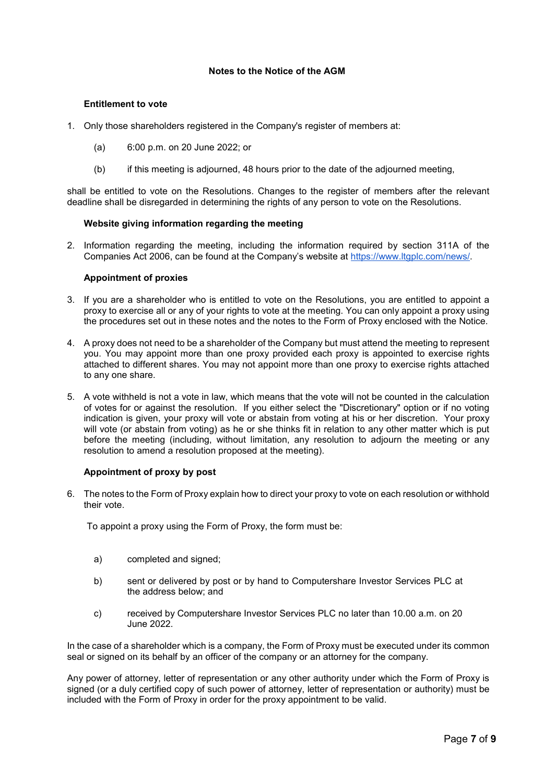# **Notes to the Notice of the AGM**

### **Entitlement to vote**

- 1. Only those shareholders registered in the Company's register of members at:
	- (a) 6:00 p.m. on 20 June 2022; or
	- (b) if this meeting is adjourned, 48 hours prior to the date of the adjourned meeting,

shall be entitled to vote on the Resolutions. Changes to the register of members after the relevant deadline shall be disregarded in determining the rights of any person to vote on the Resolutions.

# **Website giving information regarding the meeting**

2. Information regarding the meeting, including the information required by section 311A of the Companies Act 2006, can be found at the Company's website at https://www.ltgplc.com/news/.

## **Appointment of proxies**

- 3. If you are a shareholder who is entitled to vote on the Resolutions, you are entitled to appoint a proxy to exercise all or any of your rights to vote at the meeting. You can only appoint a proxy using the procedures set out in these notes and the notes to the Form of Proxy enclosed with the Notice.
- 4. A proxy does not need to be a shareholder of the Company but must attend the meeting to represent you. You may appoint more than one proxy provided each proxy is appointed to exercise rights attached to different shares. You may not appoint more than one proxy to exercise rights attached to any one share.
- 5. A vote withheld is not a vote in law, which means that the vote will not be counted in the calculation of votes for or against the resolution. If you either select the "Discretionary" option or if no voting indication is given, your proxy will vote or abstain from voting at his or her discretion. Your proxy will vote (or abstain from voting) as he or she thinks fit in relation to any other matter which is put before the meeting (including, without limitation, any resolution to adjourn the meeting or any resolution to amend a resolution proposed at the meeting).

# **Appointment of proxy by post**

6. The notes to the Form of Proxy explain how to direct your proxy to vote on each resolution or withhold their vote.

To appoint a proxy using the Form of Proxy, the form must be:

- a) completed and signed;
- b) sent or delivered by post or by hand to Computershare Investor Services PLC at the address below; and
- c) received by Computershare Investor Services PLC no later than 10.00 a.m. on 20 June 2022.

In the case of a shareholder which is a company, the Form of Proxy must be executed under its common seal or signed on its behalf by an officer of the company or an attorney for the company.

Any power of attorney, letter of representation or any other authority under which the Form of Proxy is signed (or a duly certified copy of such power of attorney, letter of representation or authority) must be included with the Form of Proxy in order for the proxy appointment to be valid.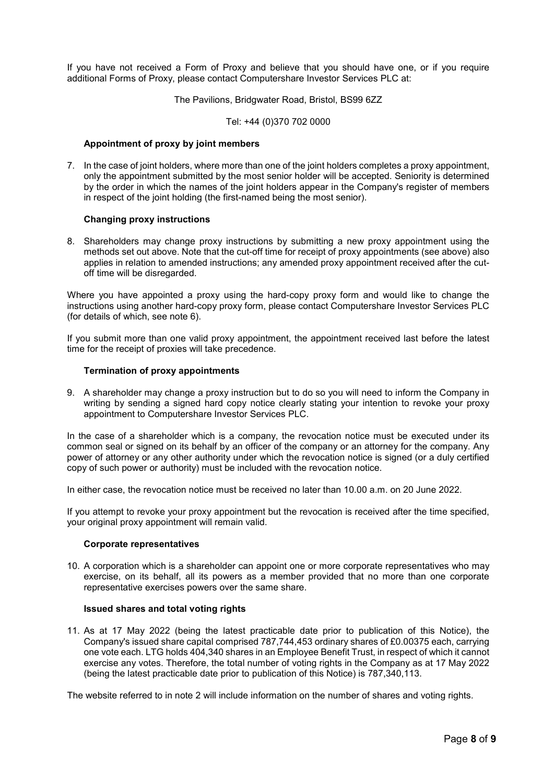If you have not received a Form of Proxy and believe that you should have one, or if you require additional Forms of Proxy, please contact Computershare Investor Services PLC at:

The Pavilions, Bridgwater Road, Bristol, BS99 6ZZ

Tel: +44 (0)370 702 0000

### **Appointment of proxy by joint members**

7. In the case of joint holders, where more than one of the joint holders completes a proxy appointment, only the appointment submitted by the most senior holder will be accepted. Seniority is determined by the order in which the names of the joint holders appear in the Company's register of members in respect of the joint holding (the first-named being the most senior).

#### **Changing proxy instructions**

8. Shareholders may change proxy instructions by submitting a new proxy appointment using the methods set out above. Note that the cut-off time for receipt of proxy appointments (see above) also applies in relation to amended instructions; any amended proxy appointment received after the cutoff time will be disregarded.

Where you have appointed a proxy using the hard-copy proxy form and would like to change the instructions using another hard-copy proxy form, please contact Computershare Investor Services PLC (for details of which, see note 6).

If you submit more than one valid proxy appointment, the appointment received last before the latest time for the receipt of proxies will take precedence.

## **Termination of proxy appointments**

9. A shareholder may change a proxy instruction but to do so you will need to inform the Company in writing by sending a signed hard copy notice clearly stating your intention to revoke your proxy appointment to Computershare Investor Services PLC.

In the case of a shareholder which is a company, the revocation notice must be executed under its common seal or signed on its behalf by an officer of the company or an attorney for the company. Any power of attorney or any other authority under which the revocation notice is signed (or a duly certified copy of such power or authority) must be included with the revocation notice.

In either case, the revocation notice must be received no later than 10.00 a.m. on 20 June 2022.

If you attempt to revoke your proxy appointment but the revocation is received after the time specified, your original proxy appointment will remain valid.

#### **Corporate representatives**

10. A corporation which is a shareholder can appoint one or more corporate representatives who may exercise, on its behalf, all its powers as a member provided that no more than one corporate representative exercises powers over the same share.

### **Issued shares and total voting rights**

11. As at 17 May 2022 (being the latest practicable date prior to publication of this Notice), the Company's issued share capital comprised 787,744,453 ordinary shares of £0.00375 each, carrying one vote each. LTG holds 404,340 shares in an Employee Benefit Trust, in respect of which it cannot exercise any votes. Therefore, the total number of voting rights in the Company as at 17 May 2022 (being the latest practicable date prior to publication of this Notice) is 787,340,113.

The website referred to in note 2 will include information on the number of shares and voting rights.